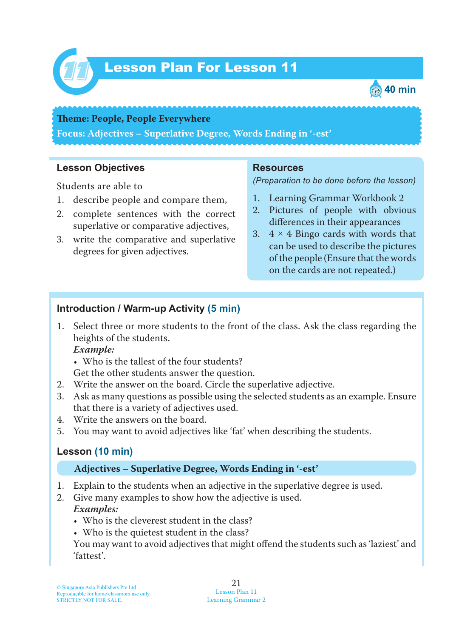

# Lesson Plan For Lesson 11 *11*



#### **Theme: People, People Everywhere**

**Focus: Adjectives – Superlative Degree, Words Ending in '-est'**

## **Lesson Objectives**

Students are able to

- 1. describe people and compare them,
- 2. complete sentences with the correct superlative or comparative adjectives,
- 3. write the comparative and superlative degrees for given adjectives.

## **Resources**

*(Preparation to be done before the lesson)*

- 1. Learning Grammar Workbook 2
- 2. Pictures of people with obvious differences in their appearances
- 3.  $4 \times 4$  Bingo cards with words that can be used to describe the pictures of the people (Ensure that the words on the cards are not repeated.)

## **Introduction / Warm-up Activity (5 min)**

1. Select three or more students to the front of the class. Ask the class regarding the heights of the students.

 *Example:*

- Who is the tallest of the four students?
- Get the other students answer the question.
- 2. Write the answer on the board. Circle the superlative adjective.
- 3. Ask as many questions as possible using the selected students as an example. Ensure that there is a variety of adjectives used.
- 4. Write the answers on the board.
- 5. You may want to avoid adjectives like 'fat' when describing the students.

## **Lesson (10 min)**

## **Adjectives – Superlative Degree, Words Ending in '-est'**

- 1. Explain to the students when an adjective in the superlative degree is used.
- 2. Give many examples to show how the adjective is used.  *Examples:*
	- Who is the cleverest student in the class?
	- Who is the quietest student in the class?

You may want to avoid adjectives that might offend the students such as 'laziest' and 'fattest'.